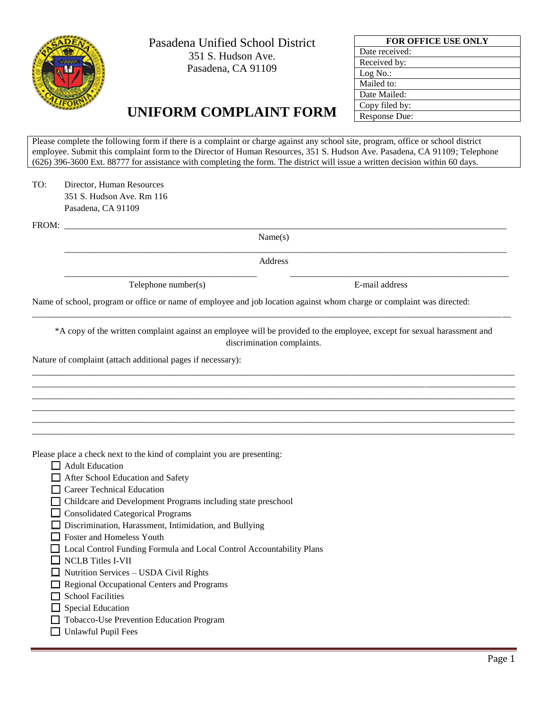

Pasadena Unified School District 351 S. Hudson Ave. Pasadena, CA 91109

| <b>FOR OFFICE USE ONLY</b> |  |  |  |  |
|----------------------------|--|--|--|--|
| Date received:             |  |  |  |  |
| Received by:               |  |  |  |  |
| Log No.:                   |  |  |  |  |
| Mailed to:                 |  |  |  |  |
| Date Mailed:               |  |  |  |  |
| Copy filed by:             |  |  |  |  |
| Response Due:              |  |  |  |  |

## **UNIFORM COMPLAINT FORM**

Please complete the following form if there is a complaint or charge against any school site, program, office or school district employee. Submit this complaint form to the Director of Human Resources, 351 S. Hudson Ave. Pasadena, CA 91109; Telephone (626) 396-3600 Ext. 88777 for assistance with completing the form. The district will issue a written decision within 60 days.

TO: Director, Human Resources 351 S. Hudson Ave. Rm 116 Pasadena, CA 91109

FROM: \_\_\_\_\_\_\_\_\_\_\_\_\_\_\_\_\_\_\_\_\_\_\_\_\_\_\_\_\_\_\_\_\_\_\_\_\_\_\_\_\_\_\_\_\_\_\_\_\_\_\_\_\_\_\_\_\_\_\_\_\_\_\_\_\_\_\_\_\_\_\_\_\_\_\_\_\_\_\_\_\_\_\_\_\_\_\_\_\_\_\_\_\_\_\_\_\_\_\_

Name(s)

Address

\_\_\_\_\_\_\_\_\_\_\_\_\_\_\_\_\_\_\_\_\_\_\_\_\_\_\_\_\_\_\_\_\_\_\_\_\_\_\_\_\_\_\_\_\_\_\_\_\_\_\_\_\_\_\_\_\_\_\_\_\_\_\_\_\_\_\_\_\_\_\_\_\_\_\_\_\_\_\_\_\_\_\_\_\_\_\_\_\_\_\_\_\_\_\_\_\_\_\_

\_\_\_\_\_\_\_\_\_\_\_\_\_\_\_\_\_\_\_\_\_\_\_\_\_\_\_\_\_\_\_\_\_\_\_\_\_\_\_\_\_\_\_ \_\_\_\_\_\_\_\_\_\_\_\_\_\_\_\_\_\_\_\_\_\_\_\_\_\_\_\_\_\_\_\_\_\_\_\_\_\_\_\_\_\_\_\_\_\_\_\_\_

Telephone number(s) E-mail address

Name of school, program or office or name of employee and job location against whom charge or complaint was directed:

\*A copy of the written complaint against an employee will be provided to the employee, except for sexual harassment and discrimination complaints.

\_\_\_\_\_\_\_\_\_\_\_\_\_\_\_\_\_\_\_\_\_\_\_\_\_\_\_\_\_\_\_\_\_\_\_\_\_\_\_\_\_\_\_\_\_\_\_\_\_\_\_\_\_\_\_\_\_\_\_\_\_\_\_\_\_\_\_\_\_\_\_\_\_\_\_\_\_\_\_\_\_\_\_\_\_\_\_\_\_\_\_\_\_\_\_\_\_\_\_\_\_\_\_\_\_\_\_\_ \_\_\_\_\_\_\_\_\_\_\_\_\_\_\_\_\_\_\_\_\_\_\_\_\_\_\_\_\_\_\_\_\_\_\_\_\_\_\_\_\_\_\_\_\_\_\_\_\_\_\_\_\_\_\_\_\_\_\_\_\_\_\_\_\_\_\_\_\_\_\_\_\_\_\_\_\_\_\_\_\_\_\_\_\_\_\_\_\_\_\_\_\_\_\_\_\_\_\_\_\_\_\_\_\_\_\_\_ \_\_\_\_\_\_\_\_\_\_\_\_\_\_\_\_\_\_\_\_\_\_\_\_\_\_\_\_\_\_\_\_\_\_\_\_\_\_\_\_\_\_\_\_\_\_\_\_\_\_\_\_\_\_\_\_\_\_\_\_\_\_\_\_\_\_\_\_\_\_\_\_\_\_\_\_\_\_\_\_\_\_\_\_\_\_\_\_\_\_\_\_\_\_\_\_\_\_\_\_\_\_\_\_\_\_\_\_ \_\_\_\_\_\_\_\_\_\_\_\_\_\_\_\_\_\_\_\_\_\_\_\_\_\_\_\_\_\_\_\_\_\_\_\_\_\_\_\_\_\_\_\_\_\_\_\_\_\_\_\_\_\_\_\_\_\_\_\_\_\_\_\_\_\_\_\_\_\_\_\_\_\_\_\_\_\_\_\_\_\_\_\_\_\_\_\_\_\_\_\_\_\_\_\_\_\_\_\_\_\_\_\_\_\_\_\_ \_\_\_\_\_\_\_\_\_\_\_\_\_\_\_\_\_\_\_\_\_\_\_\_\_\_\_\_\_\_\_\_\_\_\_\_\_\_\_\_\_\_\_\_\_\_\_\_\_\_\_\_\_\_\_\_\_\_\_\_\_\_\_\_\_\_\_\_\_\_\_\_\_\_\_\_\_\_\_\_\_\_\_\_\_\_\_\_\_\_\_\_\_\_\_\_\_\_\_\_\_\_\_\_\_\_\_\_ \_\_\_\_\_\_\_\_\_\_\_\_\_\_\_\_\_\_\_\_\_\_\_\_\_\_\_\_\_\_\_\_\_\_\_\_\_\_\_\_\_\_\_\_\_\_\_\_\_\_\_\_\_\_\_\_\_\_\_\_\_\_\_\_\_\_\_\_\_\_\_\_\_\_\_\_\_\_\_\_\_\_\_\_\_\_\_\_\_\_\_\_\_\_\_\_\_\_\_\_\_\_\_\_\_\_\_\_

\_\_\_\_\_\_\_\_\_\_\_\_\_\_\_\_\_\_\_\_\_\_\_\_\_\_\_\_\_\_\_\_\_\_\_\_\_\_\_\_\_\_\_\_\_\_\_\_\_\_\_\_\_\_\_\_\_\_\_\_\_\_\_\_\_\_\_\_\_\_\_\_\_\_\_\_\_\_\_\_\_\_\_\_\_\_\_\_\_\_\_\_\_\_\_\_\_\_\_\_\_\_\_\_\_\_\_

Nature of complaint (attach additional pages if necessary):

Please place a check next to the kind of complaint you are presenting:

- $\Box$  Adult Education
- □ After School Education and Safety
- \_\_ Career Technical Education
- \_\_ Childcare and Development Programs including state preschool
- $\Box$  Consolidated Categorical Programs
- \_\_ Discrimination, Harassment, Intimidation, and Bullying
- $\Box$  Foster and Homeless Youth
- \_\_ Local Control Funding Formula and Local Control Accountability Plans
- NCLB Titles I-VII
- $\Box$  Nutrition Services USDA Civil Rights
- \_\_ Regional Occupational Centers and Programs
- $\Box$  School Facilities
- $\Box$  Special Education
- \_\_ Tobacco-Use Prevention Education Program
- $\Box$  Unlawful Pupil Fees